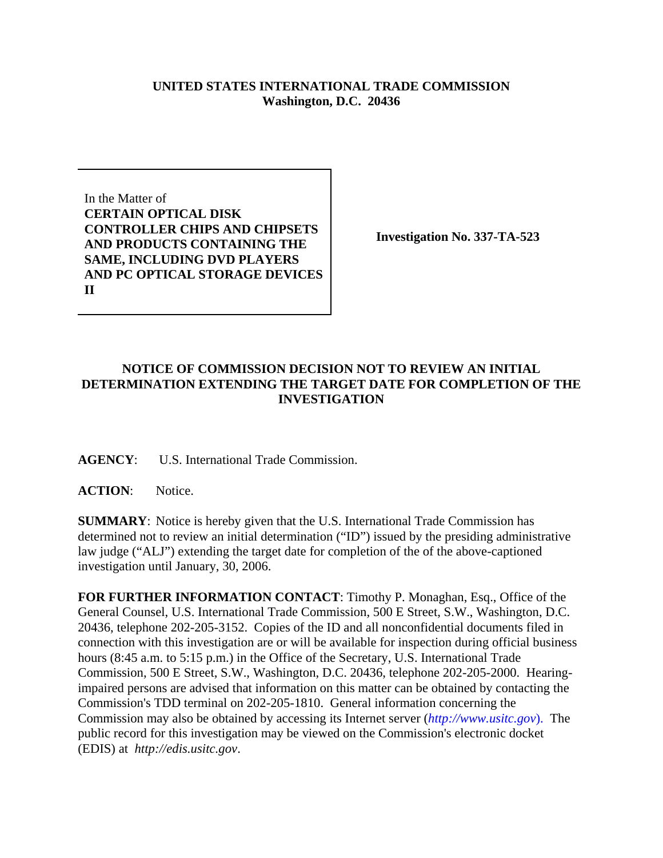## **UNITED STATES INTERNATIONAL TRADE COMMISSION Washington, D.C. 20436**

In the Matter of **CERTAIN OPTICAL DISK CONTROLLER CHIPS AND CHIPSETS AND PRODUCTS CONTAINING THE SAME, INCLUDING DVD PLAYERS AND PC OPTICAL STORAGE DEVICES II**

**Investigation No. 337-TA-523**

## **NOTICE OF COMMISSION DECISION NOT TO REVIEW AN INITIAL DETERMINATION EXTENDING THE TARGET DATE FOR COMPLETION OF THE INVESTIGATION**

**AGENCY**: U.S. International Trade Commission.

**ACTION**: Notice.

**SUMMARY**: Notice is hereby given that the U.S. International Trade Commission has determined not to review an initial determination ("ID") issued by the presiding administrative law judge ("ALJ") extending the target date for completion of the of the above-captioned investigation until January, 30, 2006.

**FOR FURTHER INFORMATION CONTACT**: Timothy P. Monaghan, Esq., Office of the General Counsel, U.S. International Trade Commission, 500 E Street, S.W., Washington, D.C. 20436, telephone 202-205-3152. Copies of the ID and all nonconfidential documents filed in connection with this investigation are or will be available for inspection during official business hours (8:45 a.m. to 5:15 p.m.) in the Office of the Secretary, U.S. International Trade Commission, 500 E Street, S.W., Washington, D.C. 20436, telephone 202-205-2000. Hearingimpaired persons are advised that information on this matter can be obtained by contacting the Commission's TDD terminal on 202-205-1810. General information concerning the Commission may also be obtained by accessing its Internet server (*http://www.usitc.gov*). The public record for this investigation may be viewed on the Commission's electronic docket (EDIS) at *http://edis.usitc.gov*.